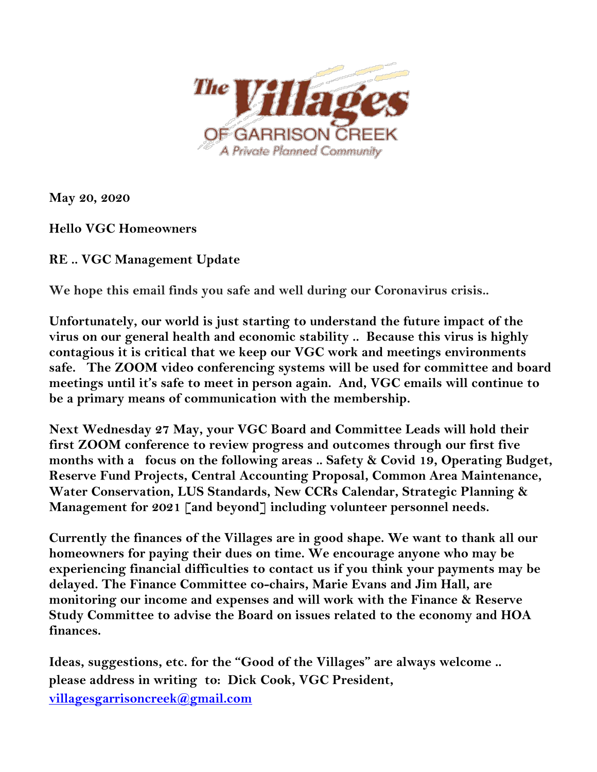

**May 20, 2020**

**Hello VGC Homeowners**

**RE .. VGC Management Update** 

**We hope this email finds you safe and well during our Coronavirus crisis..** 

**Unfortunately, our world is just starting to understand the future impact of the virus on our general health and economic stability .. Because this virus is highly contagious it is critical that we keep our VGC work and meetings environments safe. The ZOOM video conferencing systems will be used for committee and board meetings until it's safe to meet in person again. And, VGC emails will continue to be a primary means of communication with the membership.**

**Next Wednesday 27 May, your VGC Board and Committee Leads will hold their first ZOOM conference to review progress and outcomes through our first five months with a focus on the following areas .. Safety & Covid 19, Operating Budget, Reserve Fund Projects, Central Accounting Proposal, Common Area Maintenance, Water Conservation, LUS Standards, New CCRs Calendar, Strategic Planning & Management for 2021 [and beyond] including volunteer personnel needs.** 

**Currently the finances of the Villages are in good shape. We want to thank all our homeowners for paying their dues on time. We encourage anyone who may be experiencing financial difficulties to contact us if you think your payments may be delayed. The Finance Committee co-chairs, Marie Evans and Jim Hall, are monitoring our income and expenses and will work with the Finance & Reserve Study Committee to advise the Board on issues related to the economy and HOA finances.** 

**Ideas, suggestions, etc. for the "Good of the Villages" are always welcome .. please address in writing to: Dick Cook, VGC President, [villagesgarrisoncreek@gmail.com](mailto:villagesgarrisoncreek@gmail.com)**